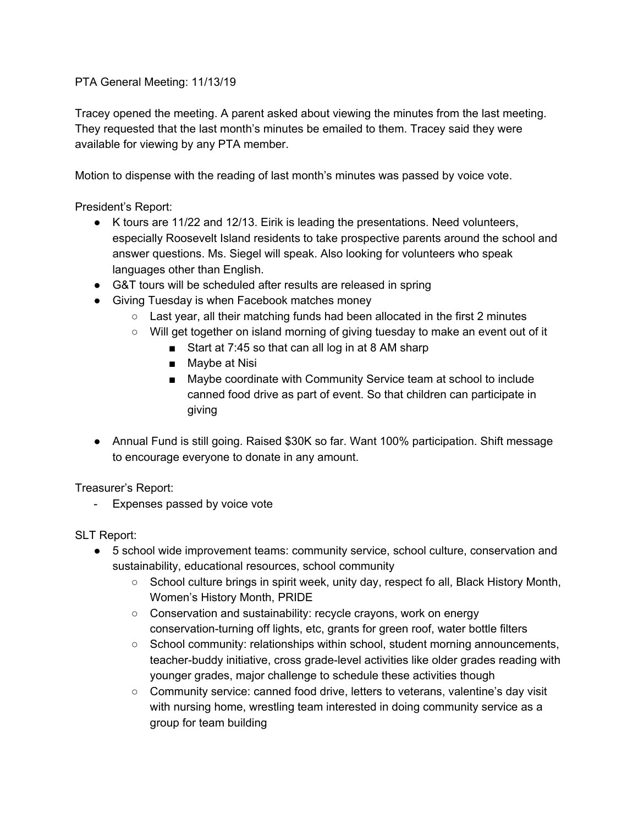PTA General Meeting: 11/13/19

Tracey opened the meeting. A parent asked about viewing the minutes from the last meeting. They requested that the last month's minutes be emailed to them. Tracey said they were available for viewing by any PTA member.

Motion to dispense with the reading of last month's minutes was passed by voice vote.

President's Report:

- K tours are 11/22 and 12/13. Eirik is leading the presentations. Need volunteers, especially Roosevelt Island residents to take prospective parents around the school and answer questions. Ms. Siegel will speak. Also looking for volunteers who speak languages other than English.
- G&T tours will be scheduled after results are released in spring
- Giving Tuesday is when Facebook matches money
	- $\circ$  Last year, all their matching funds had been allocated in the first 2 minutes
	- Will get together on island morning of giving tuesday to make an event out of it
		- Start at 7:45 so that can all log in at 8 AM sharp
		- Maybe at Nisi
		- Maybe coordinate with Community Service team at school to include canned food drive as part of event. So that children can participate in giving
- Annual Fund is still going. Raised \$30K so far. Want 100% participation. Shift message to encourage everyone to donate in any amount.

Treasurer's Report:

- Expenses passed by voice vote

SLT Report:

- 5 school wide improvement teams: community service, school culture, conservation and sustainability, educational resources, school community
	- School culture brings in spirit week, unity day, respect fo all, Black History Month, Women's History Month, PRIDE
	- Conservation and sustainability: recycle crayons, work on energy conservation-turning off lights, etc, grants for green roof, water bottle filters
	- School community: relationships within school, student morning announcements, teacher-buddy initiative, cross grade-level activities like older grades reading with younger grades, major challenge to schedule these activities though
	- Community service: canned food drive, letters to veterans, valentine's day visit with nursing home, wrestling team interested in doing community service as a group for team building